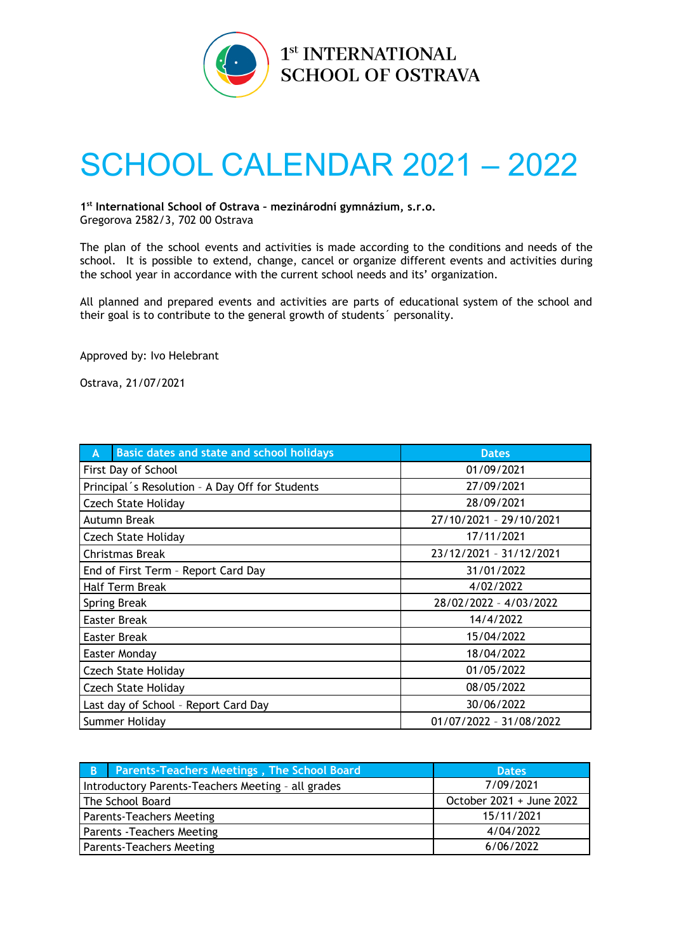

## SCHOOL CALENDAR 2021 – 2022

**1 st International School of Ostrava – mezinárodní gymnázium, s.r.o.** Gregorova 2582/3, 702 00 Ostrava

The plan of the school events and activities is made according to the conditions and needs of the school. It is possible to extend, change, cancel or organize different events and activities during the school year in accordance with the current school needs and its' organization.

All planned and prepared events and activities are parts of educational system of the school and their goal is to contribute to the general growth of students´ personality.

Approved by: Ivo Helebrant

Ostrava, 21/07/2021

| <b>Basic dates and state and school holidays</b><br>A | <b>Dates</b>            |
|-------------------------------------------------------|-------------------------|
| First Day of School                                   | 01/09/2021              |
| Principal's Resolution - A Day Off for Students       | 27/09/2021              |
| <b>Czech State Holiday</b>                            | 28/09/2021              |
| Autumn Break                                          | 27/10/2021 - 29/10/2021 |
| <b>Czech State Holiday</b>                            | 17/11/2021              |
| Christmas Break                                       | 23/12/2021 - 31/12/2021 |
| End of First Term - Report Card Day                   | 31/01/2022              |
| Half Term Break                                       | 4/02/2022               |
| Spring Break                                          | 28/02/2022 - 4/03/2022  |
| Easter Break                                          | 14/4/2022               |
| Easter Break                                          | 15/04/2022              |
| Easter Monday                                         | 18/04/2022              |
| <b>Czech State Holiday</b>                            | 01/05/2022              |
| <b>Czech State Holiday</b>                            | 08/05/2022              |
| Last day of School - Report Card Day                  | 30/06/2022              |
| Summer Holiday                                        | 01/07/2022 - 31/08/2022 |

| B                                                  | <b>Parents-Teachers Meetings, The School Board</b> | <b>Dates</b>             |
|----------------------------------------------------|----------------------------------------------------|--------------------------|
| Introductory Parents-Teachers Meeting - all grades |                                                    | 7/09/2021                |
|                                                    | The School Board                                   | October 2021 + June 2022 |
| <b>Parents-Teachers Meeting</b>                    |                                                    | 15/11/2021               |
| <b>Parents - Teachers Meeting</b>                  |                                                    | 4/04/2022                |
| Parents-Teachers Meeting                           |                                                    | 6/06/2022                |